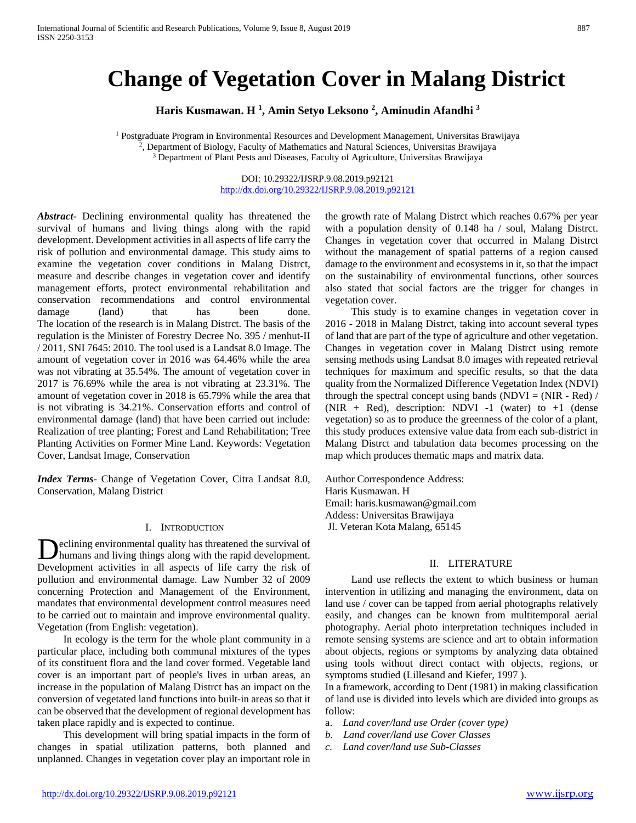# **Change of Vegetation Cover in Malang District**

**Haris Kusmawan. H 1 , Amin Setyo Leksono 2 , Aminudin Afandhi 3**

<sup>1</sup> Postgraduate Program in Environmental Resources and Development Management, Universitas Brawijaya 2, Department of Biology, Faculty of Mathematics and Natural Sciences, Universitas Brawijaya <sup>3</sup> Department of Plant Pests and Diseases, Faculty of Agriculture, Universitas Brawijaya

> DOI: 10.29322/IJSRP.9.08.2019.p92121 <http://dx.doi.org/10.29322/IJSRP.9.08.2019.p92121>

*Abstract***-** Declining environmental quality has threatened the survival of humans and living things along with the rapid development. Development activities in all aspects of life carry the risk of pollution and environmental damage. This study aims to examine the vegetation cover conditions in Malang Distrct, measure and describe changes in vegetation cover and identify management efforts, protect environmental rehabilitation and conservation recommendations and control environmental damage (land) that has been done. The location of the research is in Malang Distrct. The basis of the regulation is the Minister of Forestry Decree No. 395 / menhut-II / 2011, SNI 7645: 2010. The tool used is a Landsat 8.0 Image. The amount of vegetation cover in 2016 was 64.46% while the area was not vibrating at 35.54%. The amount of vegetation cover in 2017 is 76.69% while the area is not vibrating at 23.31%. The amount of vegetation cover in 2018 is 65.79% while the area that is not vibrating is 34.21%. Conservation efforts and control of environmental damage (land) that have been carried out include: Realization of tree planting; Forest and Land Rehabilitation; Tree Planting Activities on Former Mine Land. Keywords: Vegetation Cover, Landsat Image, Conservation

*Index Terms*- Change of Vegetation Cover, Citra Landsat 8.0, Conservation, Malang District

#### I. INTRODUCTION

eclining environmental quality has threatened the survival of humans and living things along with the rapid development. Declining environmental quality has threatened the survival of<br>Development activities in all aspects of life carry the risk of pollution and environmental damage. Law Number 32 of 2009 concerning Protection and Management of the Environment, mandates that environmental development control measures need to be carried out to maintain and improve environmental quality. Vegetation (from English: vegetation).

 In ecology is the term for the whole plant community in a particular place, including both communal mixtures of the types of its constituent flora and the land cover formed. Vegetable land cover is an important part of people's lives in urban areas, an increase in the population of Malang Distrct has an impact on the conversion of vegetated land functions into built-in areas so that it can be observed that the development of regional development has taken place rapidly and is expected to continue.

 This development will bring spatial impacts in the form of changes in spatial utilization patterns, both planned and unplanned. Changes in vegetation cover play an important role in

the growth rate of Malang Distrct which reaches 0.67% per year with a population density of 0.148 ha / soul, Malang Distrct. Changes in vegetation cover that occurred in Malang Distrct without the management of spatial patterns of a region caused damage to the environment and ecosystems in it, so that the impact on the sustainability of environmental functions, other sources also stated that social factors are the trigger for changes in vegetation cover.

 This study is to examine changes in vegetation cover in 2016 - 2018 in Malang Distrct, taking into account several types of land that are part of the type of agriculture and other vegetation. Changes in vegetation cover in Malang Distrct using remote sensing methods using Landsat 8.0 images with repeated retrieval techniques for maximum and specific results, so that the data quality from the Normalized Difference Vegetation Index (NDVI) through the spectral concept using bands (NDVI =  $(NIR - Red)$ ) (NIR + Red), description: NDVI -1 (water) to  $+1$  (dense vegetation) so as to produce the greenness of the color of a plant, this study produces extensive value data from each sub-district in Malang Distrct and tabulation data becomes processing on the map which produces thematic maps and matrix data.

Author Correspondence Address: Haris Kusmawan. H Email: haris.kusmawan@gmail.com Addess: Universitas Brawijaya Jl. Veteran Kota Malang, 65145

#### II. LITERATURE

 Land use reflects the extent to which business or human intervention in utilizing and managing the environment, data on land use / cover can be tapped from aerial photographs relatively easily, and changes can be known from multitemporal aerial photography. Aerial photo interpretation techniques included in remote sensing systems are science and art to obtain information about objects, regions or symptoms by analyzing data obtained using tools without direct contact with objects, regions, or symptoms studied (Lillesand and Kiefer, 1997 ).

In a framework, according to Dent (1981) in making classification of land use is divided into levels which are divided into groups as follow:

- a. *Land cover/land use Order (cover type)*
- *b. Land cover/land use Cover Classes*
- *c. Land cover/land use Sub-Classes*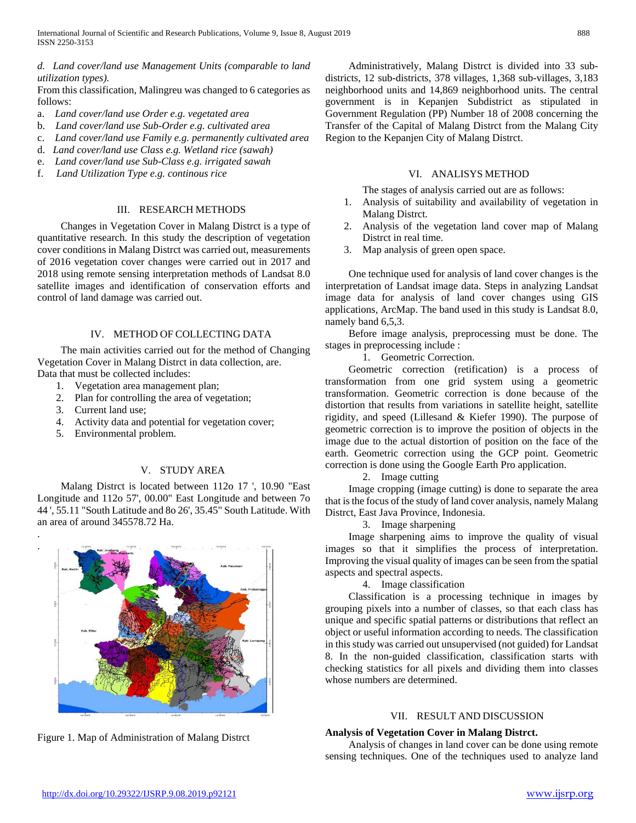*d. Land cover/land use Management Units (comparable to land utilization types).* 

From this classification, Malingreu was changed to 6 categories as follows:

- a. *Land cover/land use Order e.g. vegetated area*
- b. *Land cover/land use Sub-Order e.g. cultivated area*
- c. *Land cover/land use Family e.g. permanently cultivated area*
- d. *Land cover/land use Class e.g. Wetland rice (sawah)*
- e. *Land cover/land use Sub-Class e.g. irrigated sawah*
- f. *Land Utilization Type e.g. continous rice*

#### III. RESEARCH METHODS

 Changes in Vegetation Cover in Malang Distrct is a type of quantitative research. In this study the description of vegetation cover conditions in Malang Distrct was carried out, measurements of 2016 vegetation cover changes were carried out in 2017 and 2018 using remote sensing interpretation methods of Landsat 8.0 satellite images and identification of conservation efforts and control of land damage was carried out.

#### IV. METHOD OF COLLECTING DATA

 The main activities carried out for the method of Changing Vegetation Cover in Malang Distrct in data collection, are. Data that must be collected includes:

- 1. Vegetation area management plan;
- 2. Plan for controlling the area of vegetation;
- 3. Current land use;

. .

- 4. Activity data and potential for vegetation cover;
- 5. Environmental problem.

# V. STUDY AREA

 Malang Distrct is located between 112o 17 ', 10.90 "East Longitude and 112o 57', 00.00" East Longitude and between 7o 44 ', 55.11 "South Latitude and 8o 26', 35.45" South Latitude. With an area of around 345578.72 Ha.

Figure 1. Map of Administration of Malang Distrct

 Administratively, Malang Distrct is divided into 33 subdistricts, 12 sub-districts, 378 villages, 1,368 sub-villages, 3,183 neighborhood units and 14,869 neighborhood units. The central government is in Kepanjen Subdistrict as stipulated in Government Regulation (PP) Number 18 of 2008 concerning the Transfer of the Capital of Malang Distrct from the Malang City Region to the Kepanjen City of Malang Distrct.

#### VI. ANALISYS METHOD

The stages of analysis carried out are as follows:

- 1. Analysis of suitability and availability of vegetation in Malang Distrct.
- 2. Analysis of the vegetation land cover map of Malang Distrct in real time.
- 3. Map analysis of green open space.

 One technique used for analysis of land cover changes is the interpretation of Landsat image data. Steps in analyzing Landsat image data for analysis of land cover changes using GIS applications, ArcMap. The band used in this study is Landsat 8.0, namely band 6,5,3.

 Before image analysis, preprocessing must be done. The stages in preprocessing include :

1. Geometric Correction.

 Geometric correction (retification) is a process of transformation from one grid system using a geometric transformation. Geometric correction is done because of the distortion that results from variations in satellite height, satellite rigidity, and speed (Lillesand & Kiefer 1990). The purpose of geometric correction is to improve the position of objects in the image due to the actual distortion of position on the face of the earth. Geometric correction using the GCP point. Geometric correction is done using the Google Earth Pro application.

2. Image cutting

 Image cropping (image cutting) is done to separate the area that is the focus of the study of land cover analysis, namely Malang Distrct, East Java Province, Indonesia.

3. Image sharpening

 Image sharpening aims to improve the quality of visual images so that it simplifies the process of interpretation. Improving the visual quality of images can be seen from the spatial aspects and spectral aspects.

4. Image classification

 Classification is a processing technique in images by grouping pixels into a number of classes, so that each class has unique and specific spatial patterns or distributions that reflect an object or useful information according to needs. The classification in this study was carried out unsupervised (not guided) for Landsat 8. In the non-guided classification, classification starts with checking statistics for all pixels and dividing them into classes whose numbers are determined.

#### VII. RESULT AND DISCUSSION

#### **Analysis of Vegetation Cover in Malang Distrct.**

 Analysis of changes in land cover can be done using remote sensing techniques. One of the techniques used to analyze land

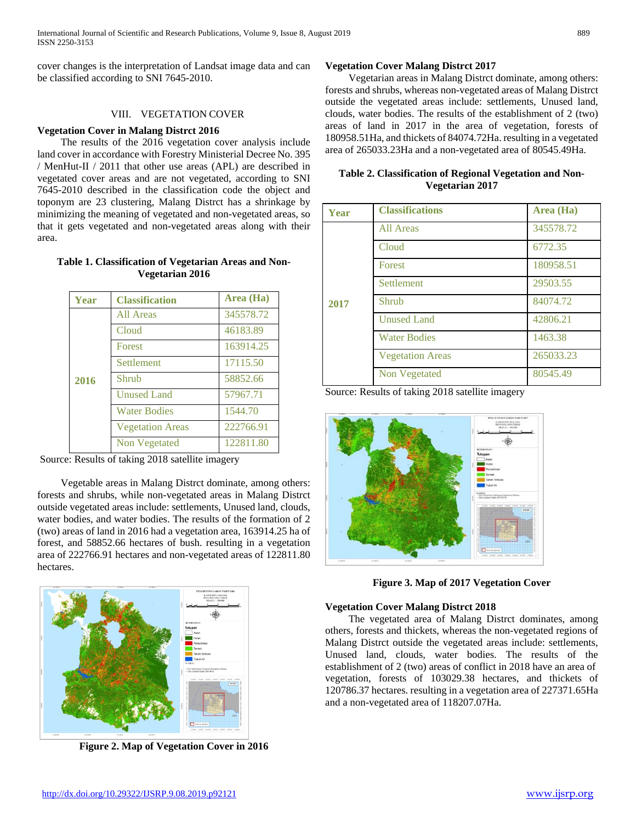cover changes is the interpretation of Landsat image data and can be classified according to SNI 7645-2010.

# VIII. VEGETATION COVER

#### **Vegetation Cover in Malang Distrct 2016**

 The results of the 2016 vegetation cover analysis include land cover in accordance with Forestry Ministerial Decree No. 395 / MenHut-II / 2011 that other use areas (APL) are described in vegetated cover areas and are not vegetated, according to SNI 7645-2010 described in the classification code the object and toponym are 23 clustering, Malang Distrct has a shrinkage by minimizing the meaning of vegetated and non-vegetated areas, so that it gets vegetated and non-vegetated areas along with their area.

### **Table 1. Classification of Vegetarian Areas and Non-Vegetarian 2016**

| Year | <b>Classification</b>   | Area (Ha) |
|------|-------------------------|-----------|
| 2016 | All Areas               | 345578.72 |
|      | Cloud                   | 46183.89  |
|      | <b>Forest</b>           | 163914.25 |
|      | <b>Settlement</b>       | 17115.50  |
|      | Shrub                   | 58852.66  |
|      | <b>Unused Land</b>      | 57967.71  |
|      | <b>Water Bodies</b>     | 1544.70   |
|      | <b>Vegetation Areas</b> | 222766.91 |
|      | Non Vegetated           | 122811.80 |

Source: Results of taking 2018 satellite imagery

 Vegetable areas in Malang Distrct dominate, among others: forests and shrubs, while non-vegetated areas in Malang Distrct outside vegetated areas include: settlements, Unused land, clouds, water bodies, and water bodies. The results of the formation of 2 (two) areas of land in 2016 had a vegetation area, 163914.25 ha of forest, and 58852.66 hectares of bush. resulting in a vegetation area of 222766.91 hectares and non-vegetated areas of 122811.80 hectares.



**Figure 2. Map of Vegetation Cover in 2016**

# **Vegetation Cover Malang Distrct 2017**

 Vegetarian areas in Malang Distrct dominate, among others: forests and shrubs, whereas non-vegetated areas of Malang Distrct outside the vegetated areas include: settlements, Unused land, clouds, water bodies. The results of the establishment of 2 (two) areas of land in 2017 in the area of vegetation, forests of 180958.51Ha, and thickets of 84074.72Ha. resulting in a vegetated area of 265033.23Ha and a non-vegetated area of 80545.49Ha.

| Table 2. Classification of Regional Vegetation and Non- |  |  |
|---------------------------------------------------------|--|--|
| Vegetarian 2017                                         |  |  |

| Year | <b>Classifications</b>  | Area (Ha) |
|------|-------------------------|-----------|
| 2017 | All Areas               | 345578.72 |
|      | Cloud                   | 6772.35   |
|      | Forest                  | 180958.51 |
|      | <b>Settlement</b>       | 29503.55  |
|      | Shrub                   | 84074.72  |
|      | <b>Unused Land</b>      | 42806.21  |
|      | <b>Water Bodies</b>     | 1463.38   |
|      | <b>Vegetation Areas</b> | 265033.23 |
|      | Non Vegetated           | 80545.49  |

Source: Results of taking 2018 satellite imagery



**Figure 3. Map of 2017 Vegetation Cover**

# **Vegetation Cover Malang Distrct 2018**

 The vegetated area of Malang Distrct dominates, among others, forests and thickets, whereas the non-vegetated regions of Malang Distrct outside the vegetated areas include: settlements, Unused land, clouds, water bodies. The results of the establishment of 2 (two) areas of conflict in 2018 have an area of vegetation, forests of 103029.38 hectares, and thickets of 120786.37 hectares. resulting in a vegetation area of 227371.65Ha and a non-vegetated area of 118207.07Ha.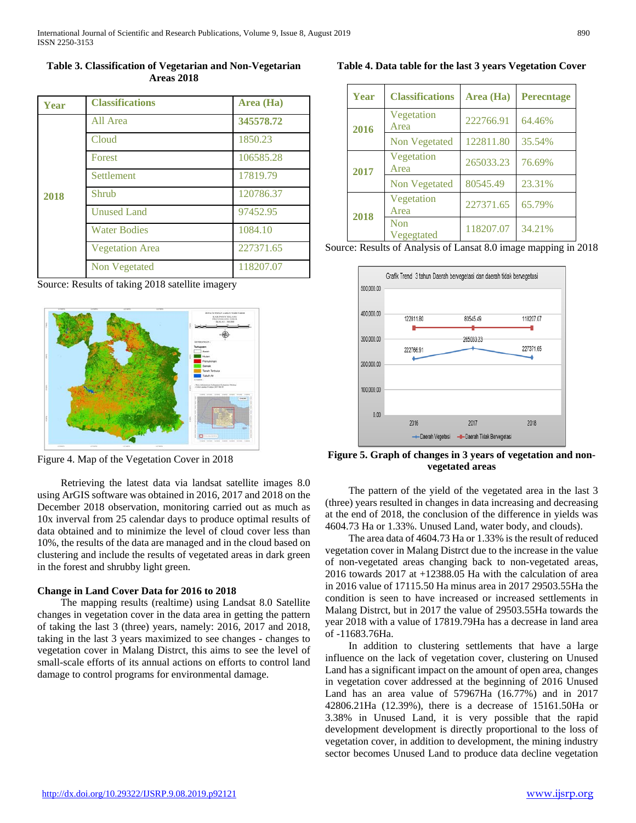**Table 3. Classification of Vegetarian and Non-Vegetarian Areas 2018**

| <b>Year</b> | <b>Classifications</b> | Area (Ha) |
|-------------|------------------------|-----------|
| 2018        | All Area               | 345578.72 |
|             | Cloud                  | 1850.23   |
|             | Forest                 | 106585.28 |
|             | <b>Settlement</b>      | 17819.79  |
|             | Shrub                  | 120786.37 |
|             | <b>Unused Land</b>     | 97452.95  |
|             | <b>Water Bodies</b>    | 1084.10   |
|             | <b>Vegetation Area</b> | 227371.65 |
|             | Non Vegetated          | 118207.07 |

Source: Results of taking 2018 satellite imagery



Figure 4. Map of the Vegetation Cover in 2018

 Retrieving the latest data via landsat satellite images 8.0 using ArGIS software was obtained in 2016, 2017 and 2018 on the December 2018 observation, monitoring carried out as much as 10x inverval from 25 calendar days to produce optimal results of data obtained and to minimize the level of cloud cover less than 10%, the results of the data are managed and in the cloud based on clustering and include the results of vegetated areas in dark green in the forest and shrubby light green.

#### **Change in Land Cover Data for 2016 to 2018**

 The mapping results (realtime) using Landsat 8.0 Satellite changes in vegetation cover in the data area in getting the pattern of taking the last 3 (three) years, namely: 2016, 2017 and 2018, taking in the last 3 years maximized to see changes - changes to vegetation cover in Malang Distrct, this aims to see the level of small-scale efforts of its annual actions on efforts to control land damage to control programs for environmental damage.

**Table 4. Data table for the last 3 years Vegetation Cover**

| Year | <b>Classifications</b> | Area (Ha) | <b>Perecntage</b> |
|------|------------------------|-----------|-------------------|
| 2016 | Vegetation<br>Area     | 222766.91 | 64.46%            |
|      | Non Vegetated          | 122811.80 | 35.54%            |
| 2017 | Vegetation<br>Area     | 265033.23 | 76.69%            |
|      | Non Vegetated          | 80545.49  | 23.31%            |
| 2018 | Vegetation<br>Area     | 227371.65 | 65.79%            |
|      | Non<br>Vegegtated      | 118207.07 | 34.21%            |

Source: Results of Analysis of Lansat 8.0 image mapping in 2018



**Figure 5. Graph of changes in 3 years of vegetation and nonvegetated areas**

 The pattern of the yield of the vegetated area in the last 3 (three) years resulted in changes in data increasing and decreasing at the end of 2018, the conclusion of the difference in yields was 4604.73 Ha or 1.33%. Unused Land, water body, and clouds).

 The area data of 4604.73 Ha or 1.33% is the result of reduced vegetation cover in Malang Distrct due to the increase in the value of non-vegetated areas changing back to non-vegetated areas, 2016 towards 2017 at +12388.05 Ha with the calculation of area in 2016 value of 17115.50 Ha minus area in 2017 29503.55Ha the condition is seen to have increased or increased settlements in Malang Distrct, but in 2017 the value of 29503.55Ha towards the year 2018 with a value of 17819.79Ha has a decrease in land area of -11683.76Ha.

 In addition to clustering settlements that have a large influence on the lack of vegetation cover, clustering on Unused Land has a significant impact on the amount of open area, changes in vegetation cover addressed at the beginning of 2016 Unused Land has an area value of 57967Ha (16.77%) and in 2017 42806.21Ha (12.39%), there is a decrease of 15161.50Ha or 3.38% in Unused Land, it is very possible that the rapid development development is directly proportional to the loss of vegetation cover, in addition to development, the mining industry sector becomes Unused Land to produce data decline vegetation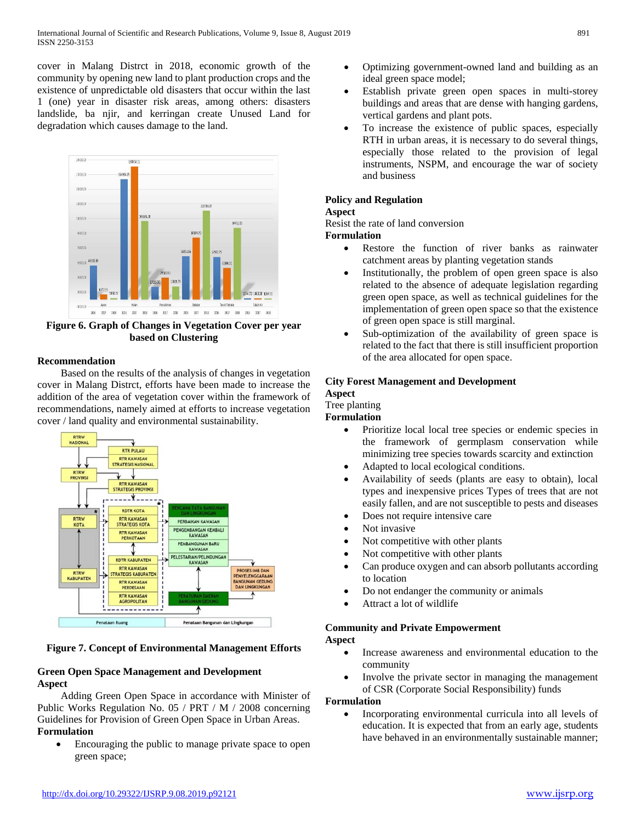cover in Malang Distrct in 2018, economic growth of the community by opening new land to plant production crops and the existence of unpredictable old disasters that occur within the last 1 (one) year in disaster risk areas, among others: disasters landslide, ba njir, and kerringan create Unused Land for degradation which causes damage to the land.



**Figure 6. Graph of Changes in Vegetation Cover per year based on Clustering**

# **Recommendation**

 Based on the results of the analysis of changes in vegetation cover in Malang Distrct, efforts have been made to increase the addition of the area of vegetation cover within the framework of recommendations, namely aimed at efforts to increase vegetation cover / land quality and environmental sustainability.



# **Figure 7. Concept of Environmental Management Efforts**

# **Green Open Space Management and Development Aspect**

 Adding Green Open Space in accordance with Minister of Public Works Regulation No. 05 / PRT / M / 2008 concerning Guidelines for Provision of Green Open Space in Urban Areas. **Formulation**

• Encouraging the public to manage private space to open green space;

- Optimizing government-owned land and building as an ideal green space model;
- Establish private green open spaces in multi-storey buildings and areas that are dense with hanging gardens, vertical gardens and plant pots.
- To increase the existence of public spaces, especially RTH in urban areas, it is necessary to do several things, especially those related to the provision of legal instruments, NSPM, and encourage the war of society and business

# **Policy and Regulation**

# **Aspect**

Resist the rate of land conversion

#### **Formulation**

- Restore the function of river banks as rainwater catchment areas by planting vegetation stands
- Institutionally, the problem of open green space is also related to the absence of adequate legislation regarding green open space, as well as technical guidelines for the implementation of green open space so that the existence of green open space is still marginal.
- Sub-optimization of the availability of green space is related to the fact that there is still insufficient proportion of the area allocated for open space.

# **City Forest Management and Development**

#### **Aspect** Tree planting

# **Formulation**

- Prioritize local local tree species or endemic species in the framework of germplasm conservation while minimizing tree species towards scarcity and extinction
- Adapted to local ecological conditions.
- Availability of seeds (plants are easy to obtain), local types and inexpensive prices Types of trees that are not easily fallen, and are not susceptible to pests and diseases
- Does not require intensive care
- Not invasive
- Not competitive with other plants
- Not competitive with other plants
- Can produce oxygen and can absorb pollutants according to location
- Do not endanger the community or animals
- Attract a lot of wildlife

# **Community and Private Empowerment Aspect**

- Increase awareness and environmental education to the community
- Involve the private sector in managing the management of CSR (Corporate Social Responsibility) funds

#### **Formulation**

• Incorporating environmental curricula into all levels of education. It is expected that from an early age, students have behaved in an environmentally sustainable manner;